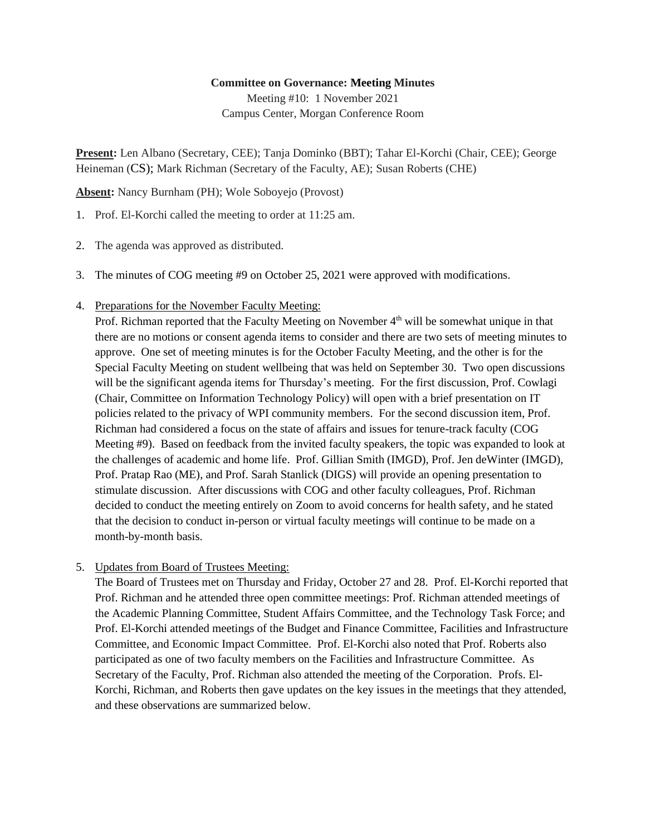## **Committee on Governance: Meeting Minutes**

Meeting #10: 1 November 2021 Campus Center, Morgan Conference Room

**Present:** Len Albano (Secretary, CEE); Tanja Dominko (BBT); Tahar El-Korchi (Chair, CEE); George Heineman (CS); Mark Richman (Secretary of the Faculty, AE); Susan Roberts (CHE)

**Absent:** Nancy Burnham (PH); Wole Soboyejo (Provost)

- 1. Prof. El-Korchi called the meeting to order at 11:25 am.
- 2. The agenda was approved as distributed.
- 3. The minutes of COG meeting #9 on October 25, 2021 were approved with modifications.
- 4. Preparations for the November Faculty Meeting:

Prof. Richman reported that the Faculty Meeting on November 4<sup>th</sup> will be somewhat unique in that there are no motions or consent agenda items to consider and there are two sets of meeting minutes to approve. One set of meeting minutes is for the October Faculty Meeting, and the other is for the Special Faculty Meeting on student wellbeing that was held on September 30. Two open discussions will be the significant agenda items for Thursday's meeting. For the first discussion, Prof. Cowlagi (Chair, Committee on Information Technology Policy) will open with a brief presentation on IT policies related to the privacy of WPI community members. For the second discussion item, Prof. Richman had considered a focus on the state of affairs and issues for tenure-track faculty (COG Meeting #9). Based on feedback from the invited faculty speakers, the topic was expanded to look at the challenges of academic and home life. Prof. Gillian Smith (IMGD), Prof. Jen deWinter (IMGD), Prof. Pratap Rao (ME), and Prof. Sarah Stanlick (DIGS) will provide an opening presentation to stimulate discussion. After discussions with COG and other faculty colleagues, Prof. Richman decided to conduct the meeting entirely on Zoom to avoid concerns for health safety, and he stated that the decision to conduct in-person or virtual faculty meetings will continue to be made on a month-by-month basis.

5. Updates from Board of Trustees Meeting:

The Board of Trustees met on Thursday and Friday, October 27 and 28. Prof. El-Korchi reported that Prof. Richman and he attended three open committee meetings: Prof. Richman attended meetings of the Academic Planning Committee, Student Affairs Committee, and the Technology Task Force; and Prof. El-Korchi attended meetings of the Budget and Finance Committee, Facilities and Infrastructure Committee, and Economic Impact Committee. Prof. El-Korchi also noted that Prof. Roberts also participated as one of two faculty members on the Facilities and Infrastructure Committee. As Secretary of the Faculty, Prof. Richman also attended the meeting of the Corporation. Profs. El-Korchi, Richman, and Roberts then gave updates on the key issues in the meetings that they attended, and these observations are summarized below.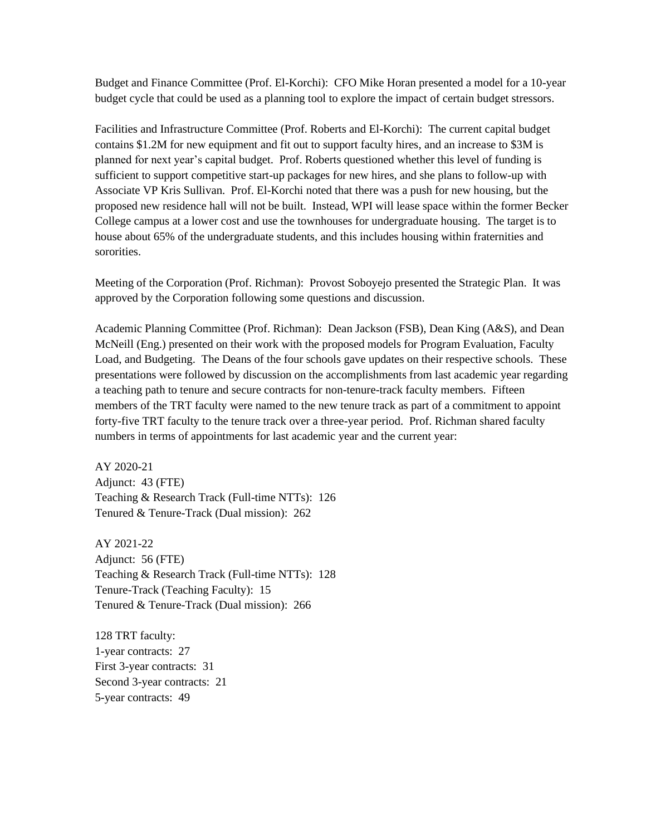Budget and Finance Committee (Prof. El-Korchi): CFO Mike Horan presented a model for a 10-year budget cycle that could be used as a planning tool to explore the impact of certain budget stressors.

Facilities and Infrastructure Committee (Prof. Roberts and El-Korchi): The current capital budget contains \$1.2M for new equipment and fit out to support faculty hires, and an increase to \$3M is planned for next year's capital budget. Prof. Roberts questioned whether this level of funding is sufficient to support competitive start-up packages for new hires, and she plans to follow-up with Associate VP Kris Sullivan. Prof. El-Korchi noted that there was a push for new housing, but the proposed new residence hall will not be built. Instead, WPI will lease space within the former Becker College campus at a lower cost and use the townhouses for undergraduate housing. The target is to house about 65% of the undergraduate students, and this includes housing within fraternities and sororities.

Meeting of the Corporation (Prof. Richman): Provost Soboyejo presented the Strategic Plan. It was approved by the Corporation following some questions and discussion.

Academic Planning Committee (Prof. Richman): Dean Jackson (FSB), Dean King (A&S), and Dean McNeill (Eng.) presented on their work with the proposed models for Program Evaluation, Faculty Load, and Budgeting. The Deans of the four schools gave updates on their respective schools. These presentations were followed by discussion on the accomplishments from last academic year regarding a teaching path to tenure and secure contracts for non-tenure-track faculty members. Fifteen members of the TRT faculty were named to the new tenure track as part of a commitment to appoint forty-five TRT faculty to the tenure track over a three-year period. Prof. Richman shared faculty numbers in terms of appointments for last academic year and the current year:

AY 2020-21 Adjunct: 43 (FTE) Teaching & Research Track (Full-time NTTs): 126 Tenured & Tenure-Track (Dual mission): 262

AY 2021-22 Adjunct: 56 (FTE) Teaching & Research Track (Full-time NTTs): 128 Tenure-Track (Teaching Faculty): 15 Tenured & Tenure-Track (Dual mission): 266

128 TRT faculty: 1-year contracts: 27 First 3-year contracts: 31 Second 3-year contracts: 21 5-year contracts: 49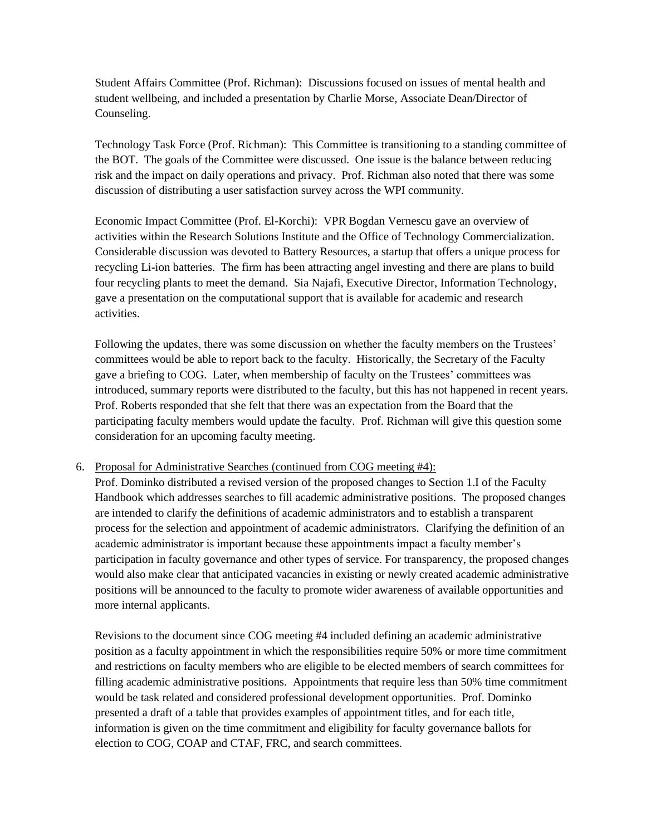Student Affairs Committee (Prof. Richman): Discussions focused on issues of mental health and student wellbeing, and included a presentation by Charlie Morse, Associate Dean/Director of Counseling.

Technology Task Force (Prof. Richman): This Committee is transitioning to a standing committee of the BOT. The goals of the Committee were discussed. One issue is the balance between reducing risk and the impact on daily operations and privacy. Prof. Richman also noted that there was some discussion of distributing a user satisfaction survey across the WPI community.

Economic Impact Committee (Prof. El-Korchi): VPR Bogdan Vernescu gave an overview of activities within the Research Solutions Institute and the Office of Technology Commercialization. Considerable discussion was devoted to Battery Resources, a startup that offers a unique process for recycling Li-ion batteries. The firm has been attracting angel investing and there are plans to build four recycling plants to meet the demand. Sia Najafi, Executive Director, Information Technology, gave a presentation on the computational support that is available for academic and research activities.

Following the updates, there was some discussion on whether the faculty members on the Trustees' committees would be able to report back to the faculty. Historically, the Secretary of the Faculty gave a briefing to COG. Later, when membership of faculty on the Trustees' committees was introduced, summary reports were distributed to the faculty, but this has not happened in recent years. Prof. Roberts responded that she felt that there was an expectation from the Board that the participating faculty members would update the faculty. Prof. Richman will give this question some consideration for an upcoming faculty meeting.

## 6. Proposal for Administrative Searches (continued from COG meeting #4):

Prof. Dominko distributed a revised version of the proposed changes to Section 1.I of the Faculty Handbook which addresses searches to fill academic administrative positions. The proposed changes are intended to clarify the definitions of academic administrators and to establish a transparent process for the selection and appointment of academic administrators. Clarifying the definition of an academic administrator is important because these appointments impact a faculty member's participation in faculty governance and other types of service. For transparency, the proposed changes would also make clear that anticipated vacancies in existing or newly created academic administrative positions will be announced to the faculty to promote wider awareness of available opportunities and more internal applicants.

Revisions to the document since COG meeting #4 included defining an academic administrative position as a faculty appointment in which the responsibilities require 50% or more time commitment and restrictions on faculty members who are eligible to be elected members of search committees for filling academic administrative positions. Appointments that require less than 50% time commitment would be task related and considered professional development opportunities. Prof. Dominko presented a draft of a table that provides examples of appointment titles, and for each title, information is given on the time commitment and eligibility for faculty governance ballots for election to COG, COAP and CTAF, FRC, and search committees.